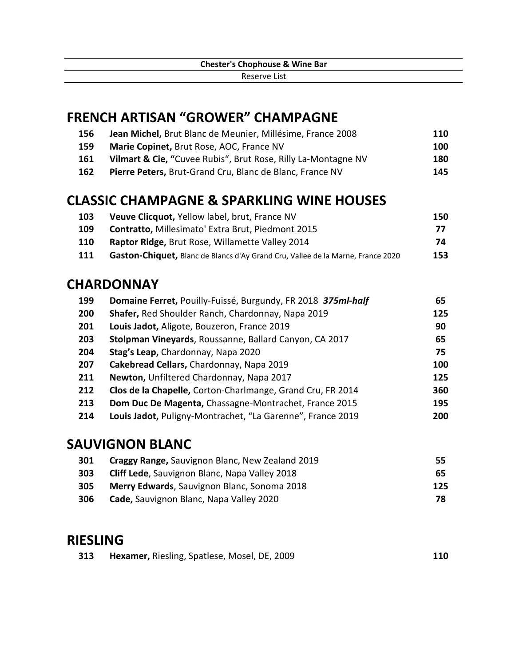## **FRENCH ARTISAN "GROWER" CHAMPAGNE**

| 156 | Jean Michel, Brut Blanc de Meunier, Millésime, France 2008    | 110  |
|-----|---------------------------------------------------------------|------|
| 159 | <b>Marie Copinet, Brut Rose, AOC, France NV</b>               | 100  |
| 161 | Vilmart & Cie, "Cuvee Rubis", Brut Rose, Rilly La-Montagne NV | 180  |
| 162 | Pierre Peters, Brut-Grand Cru, Blanc de Blanc, France NV      | 145. |

## **CLASSIC CHAMPAGNE & SPARKLING WINE HOUSES**

| 103        | <b>Veuve Clicquot, Yellow label, brut, France NV</b>                            | 150 |
|------------|---------------------------------------------------------------------------------|-----|
| 109        | <b>Contratto, Millesimato' Extra Brut, Piedmont 2015</b>                        | 77  |
| <b>110</b> | Raptor Ridge, Brut Rose, Willamette Valley 2014                                 | 74  |
| -111       | Gaston-Chiquet, Blanc de Blancs d'Ay Grand Cru, Vallee de la Marne, France 2020 | 153 |

## **CHARDONNAY**

| 199 | Domaine Ferret, Pouilly-Fuissé, Burgundy, FR 2018 375ml-half | 65  |
|-----|--------------------------------------------------------------|-----|
| 200 | Shafer, Red Shoulder Ranch, Chardonnay, Napa 2019            | 125 |
| 201 | Louis Jadot, Aligote, Bouzeron, France 2019                  | 90  |
| 203 | Stolpman Vineyards, Roussanne, Ballard Canyon, CA 2017       | 65  |
| 204 | Stag's Leap, Chardonnay, Napa 2020                           | 75  |
| 207 | Cakebread Cellars, Chardonnay, Napa 2019                     | 100 |
| 211 | Newton, Unfiltered Chardonnay, Napa 2017                     | 125 |
| 212 | Clos de la Chapelle, Corton-Charlmange, Grand Cru, FR 2014   | 360 |
| 213 | Dom Duc De Magenta, Chassagne-Montrachet, France 2015        | 195 |
| 214 | Louis Jadot, Puligny-Montrachet, "La Garenne", France 2019   | 200 |

#### **SAUVIGNON BLANC**

| 301 | <b>Craggy Range, Sauvignon Blanc, New Zealand 2019</b> | 55  |
|-----|--------------------------------------------------------|-----|
| 303 | <b>Cliff Lede, Sauvignon Blanc, Napa Valley 2018</b>   | 65  |
| 305 | <b>Merry Edwards, Sauvignon Blanc, Sonoma 2018</b>     | 125 |
| 306 | Cade, Sauvignon Blanc, Napa Valley 2020                | 78  |

#### **RIESLING**

| 313 | <b>Hexamer, Riesling, Spatlese, Mosel, DE, 2009</b> | 110 |
|-----|-----------------------------------------------------|-----|
|-----|-----------------------------------------------------|-----|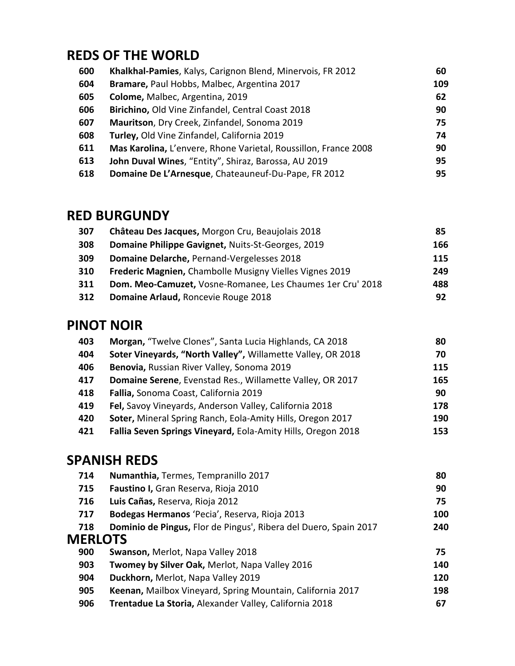# **REDS OF THE WORLD**

| 600 | Khalkhal-Pamies, Kalys, Carignon Blend, Minervois, FR 2012      | 60  |
|-----|-----------------------------------------------------------------|-----|
| 604 | Bramare, Paul Hobbs, Malbec, Argentina 2017                     | 109 |
| 605 | Colome, Malbec, Argentina, 2019                                 | 62  |
| 606 | Birichino, Old Vine Zinfandel, Central Coast 2018               | 90  |
| 607 | Mauritson, Dry Creek, Zinfandel, Sonoma 2019                    | 75  |
| 608 | Turley, Old Vine Zinfandel, California 2019                     | 74  |
| 611 | Mas Karolina, L'envere, Rhone Varietal, Roussillon, France 2008 | 90  |
| 613 | John Duval Wines, "Entity", Shiraz, Barossa, AU 2019            | 95  |
| 618 | Domaine De L'Arnesque, Chateauneuf-Du-Pape, FR 2012             | 95  |

### **RED BURGUNDY**

| 307 | Château Des Jacques, Morgon Cru, Beaujolais 2018               | 85  |
|-----|----------------------------------------------------------------|-----|
| 308 | Domaine Philippe Gavignet, Nuits-St-Georges, 2019              | 166 |
| 309 | Domaine Delarche, Pernand-Vergelesses 2018                     | 115 |
| 310 | <b>Frederic Magnien, Chambolle Musigny Vielles Vignes 2019</b> | 249 |
| 311 | Dom. Meo-Camuzet, Vosne-Romanee, Les Chaumes 1er Cru' 2018     | 488 |
| 312 | Domaine Arlaud, Roncevie Rouge 2018                            | 92  |
|     |                                                                |     |

## **PINOT NOIR**

| 403 | Morgan, "Twelve Clones", Santa Lucia Highlands, CA 2018      | 80  |
|-----|--------------------------------------------------------------|-----|
| 404 | Soter Vineyards, "North Valley", Willamette Valley, OR 2018  | 70  |
| 406 | Benovia, Russian River Valley, Sonoma 2019                   | 115 |
| 417 | Domaine Serene, Evenstad Res., Willamette Valley, OR 2017    | 165 |
| 418 | Fallia, Sonoma Coast, California 2019                        | 90  |
| 419 | Fel, Savoy Vineyards, Anderson Valley, California 2018       | 178 |
| 420 | Soter, Mineral Spring Ranch, Eola-Amity Hills, Oregon 2017   | 190 |
| 421 | Fallia Seven Springs Vineyard, Eola-Amity Hills, Oregon 2018 | 153 |

# **SPANISH REDS**

| 714            | Numanthia, Termes, Tempranillo 2017                              | 80  |
|----------------|------------------------------------------------------------------|-----|
| 715            | Faustino I, Gran Reserva, Rioja 2010                             | 90  |
| 716            | Luis Cañas, Reserva, Rioja 2012                                  | 75  |
| 717            | Bodegas Hermanos 'Pecia', Reserva, Rioja 2013                    | 100 |
| 718            | Dominio de Pingus, Flor de Pingus', Ribera del Duero, Spain 2017 | 240 |
| <b>MERLOTS</b> |                                                                  |     |
| 900            | Swanson, Merlot, Napa Valley 2018                                | 75  |
| 903            | Twomey by Silver Oak, Merlot, Napa Valley 2016                   | 140 |
| 904            | Duckhorn, Merlot, Napa Valley 2019                               | 120 |
| 905            | Keenan, Mailbox Vineyard, Spring Mountain, California 2017       | 198 |
| 906            | Trentadue La Storia, Alexander Valley, California 2018           | 67  |
|                |                                                                  |     |